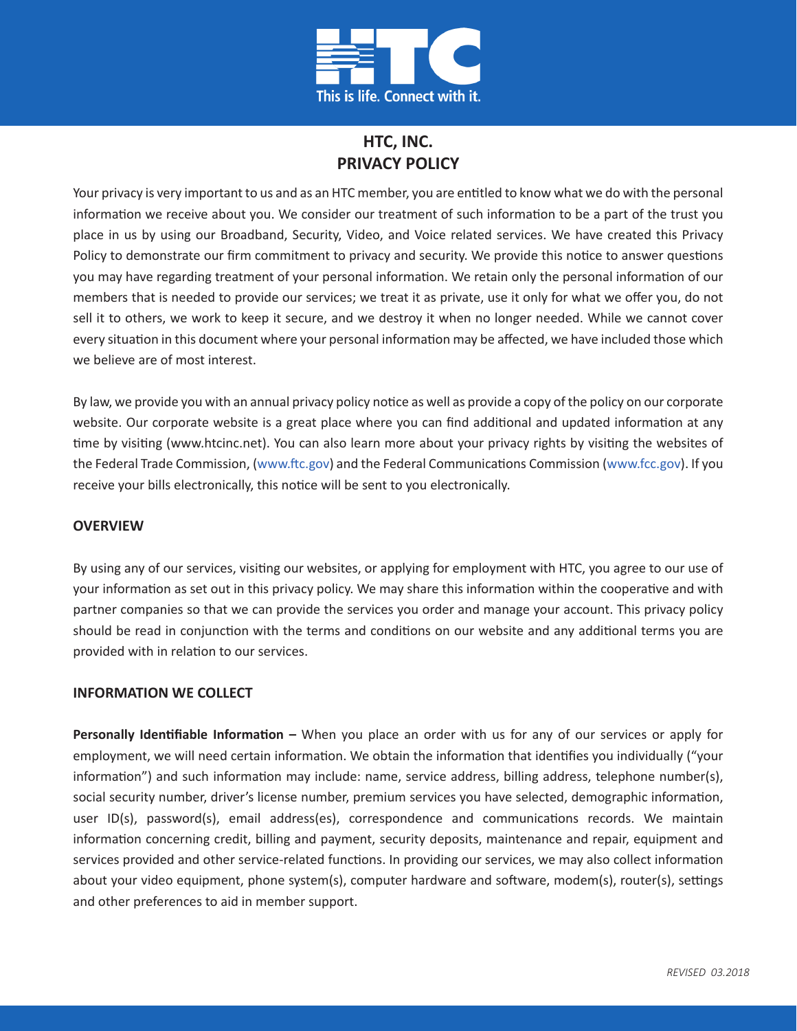

# **HTC, INC. PRIVACY POLICY**

Your privacy is very important to us and as an HTC member, you are entitled to know what we do with the personal information we receive about you. We consider our treatment of such information to be a part of the trust you place in us by using our Broadband, Security, Video, and Voice related services. We have created this Privacy Policy to demonstrate our firm commitment to privacy and security. We provide this notice to answer questions you may have regarding treatment of your personal information. We retain only the personal information of our members that is needed to provide our services; we treat it as private, use it only for what we offer you, do not sell it to others, we work to keep it secure, and we destroy it when no longer needed. While we cannot cover every situation in this document where your personal information may be affected, we have included those which we believe are of most interest.

By law, we provide you with an annual privacy policy notice as well as provide a copy of the policy on our corporate website. Our corporate website is a great place where you can find additional and updated information at any time by visiting [\(www.htcinc.net\). Yo](http://www.htcinc.net)u can also learn more about your privacy rights by visiting the websites of the Federal Trade Commission, ([www.ftc.gov\) an](http://www.ftc.gov)d the Federal Communications Commission [\(www.fcc.gov\). If y](http://www.fcc.gov)ou receive your bills electronically, this notice will be sent to you electronically.

## **OVERVIEW**

By using any of our services, visiting our websites, or applying for employment with HTC, you agree to our use of your information as set out in this privacy policy. We may share this information within the cooperative and with partner companies so that we can provide the services you order and manage your account. This privacy policy should be read in conjunction with the terms and conditions on our website and any additional terms you are provided with in relation to our services.

## **INFORMATION WE COLLECT**

**Personally Identifiable Information –** When you place an order with us for any of our services or apply for employment, we will need certain information. We obtain the information that identifies you individually ("your information") and such information may include: name, service address, billing address, telephone number(s), social security number, driver's license number, premium services you have selected, demographic information, user ID(s), password(s), email address(es), correspondence and communications records. We maintain information concerning credit, billing and payment, security deposits, maintenance and repair, equipment and services provided and other service-related functions. In providing our services, we may also collect information about your video equipment, phone system(s), computer hardware and software, modem(s), router(s), settings and other preferences to aid in member support.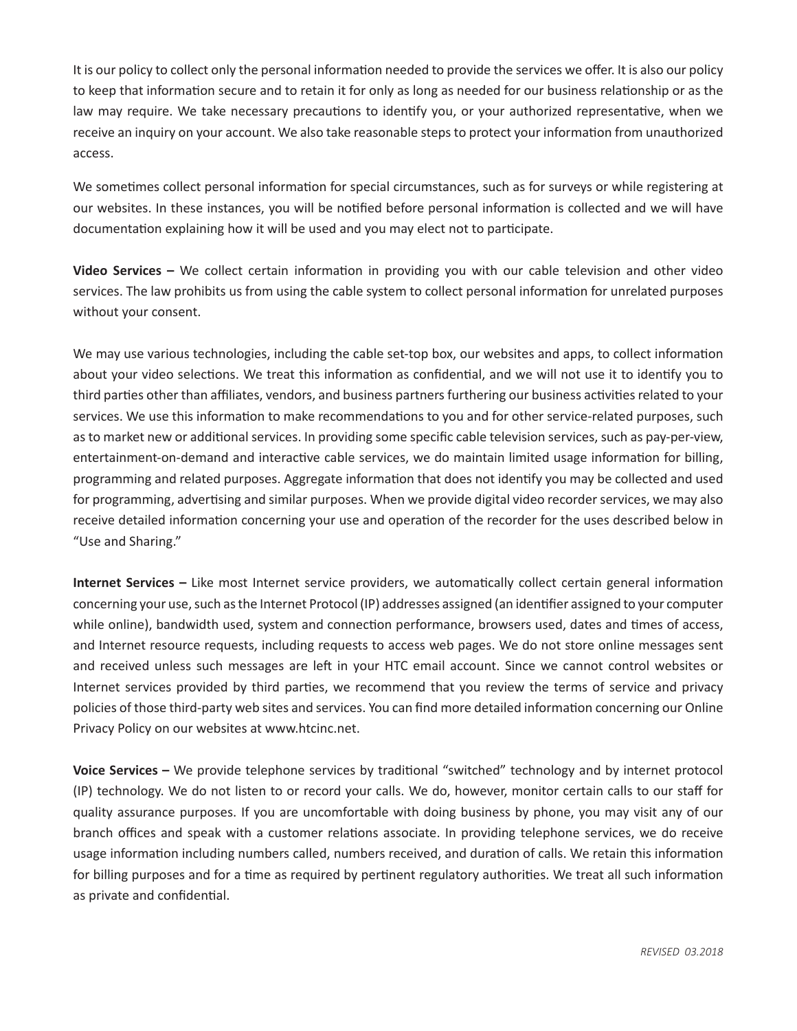It is our policy to collect only the personal information needed to provide the services we offer. It is also our policy to keep that information secure and to retain it for only as long as needed for our business relationship or as the law may require. We take necessary precautions to identify you, or your authorized representative, when we receive an inquiry on your account. We also take reasonable steps to protect your information from unauthorized access.

We sometimes collect personal information for special circumstances, such as for surveys or while registering at our websites. In these instances, you will be notified before personal information is collected and we will have documentation explaining how it will be used and you may elect not to participate.

**Video Services –** We collect certain information in providing you with our cable television and other video services. The law prohibits us from using the cable system to collect personal information for unrelated purposes without your consent.

We may use various technologies, including the cable set-top box, our websites and apps, to collect information about your video selections. We treat this information as confidential, and we will not use it to identify you to third parties other than affiliates, vendors, and business partners furthering our business activities related to your services. We use this information to make recommendations to you and for other service-related purposes, such as to market new or additional services. In providing some specific cable television services, such as pay-per-view, entertainment-on-demand and interactive cable services, we do maintain limited usage information for billing, programming and related purposes. Aggregate information that does not identify you may be collected and used for programming, advertising and similar purposes. When we provide digital video recorder services, we may also receive detailed information concerning your use and operation of the recorder for the uses described below in "Use and Sharing."

**Internet Services –** Like most Internet service providers, we automatically collect certain general information concerning your use, such as the Internet Protocol (IP) addresses assigned (an identifier assigned to your computer while online), bandwidth used, system and connection performance, browsers used, dates and times of access, and Internet resource requests, including requests to access web pages. We do not store online messages sent and received unless such messages are left in your HTC email account. Since we cannot control websites or Internet services provided by third parties, we recommend that you review the terms of service and privacy policies of those third-party web sites and services. You can find more detailed information concerning our Online Privacy Policy on our websites at [www.htcinc.net.](http://www.htcinc.net)

**Voice Services –** We provide telephone services by traditional "switched" technology and by internet protocol (IP) technology. We do not listen to or record your calls. We do, however, monitor certain calls to our staff for quality assurance purposes. If you are uncomfortable with doing business by phone, you may visit any of our branch offices and speak with a customer relations associate. In providing telephone services, we do receive usage information including numbers called, numbers received, and duration of calls. We retain this information for billing purposes and for a time as required by pertinent regulatory authorities. We treat all such information as private and confidential.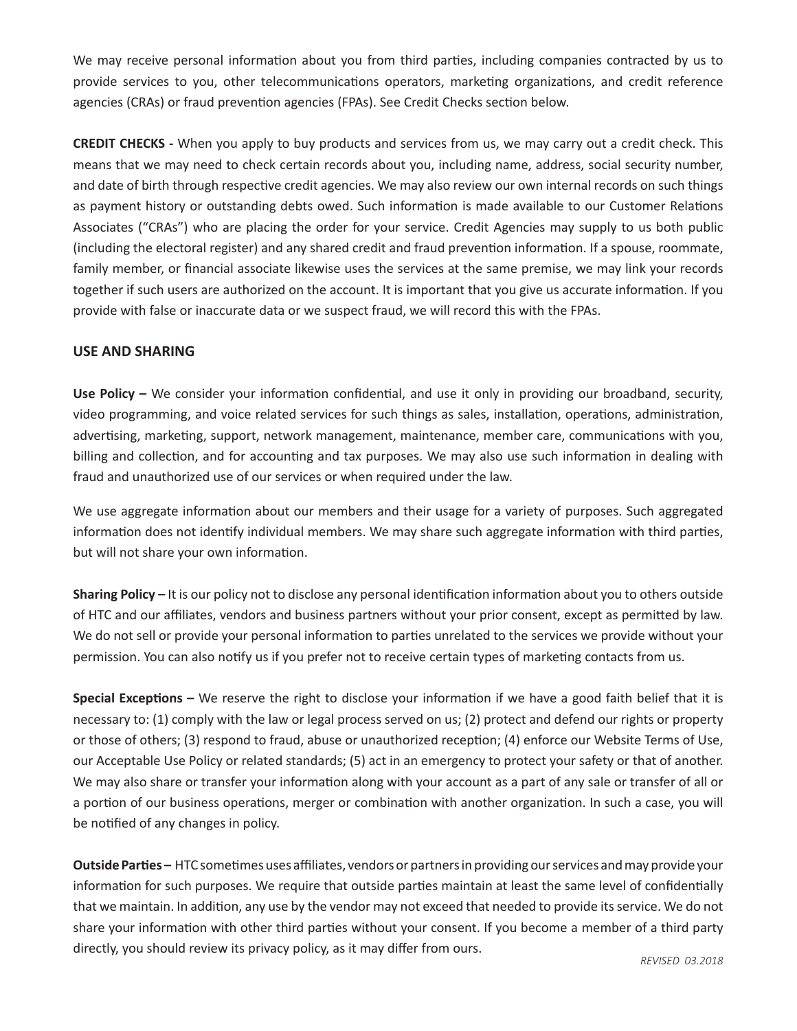We may receive personal information about you from third parties, including companies contracted by us to provide services to you, other telecommunications operators, marketing organizations, and credit reference agencies (CRAs) or fraud prevention agencies (FPAs). See Credit Checks section below.

**CREDIT CHECKS -** When you apply to buy products and services from us, we may carry out a credit check. This means that we may need to check certain records about you, including name, address, social security number, and date of birth through respective credit agencies. We may also review our own internal records on such things as payment history or outstanding debts owed. Such information is made available to our Customer Relations Associates ("CRAs") who are placing the order for your service. Credit Agencies may supply to us both public (including the electoral register) and any shared credit and fraud prevention information. If a spouse, roommate, family member, or financial associate likewise uses the services at the same premise, we may link your records together if such users are authorized on the account. It is important that you give us accurate information. If you provide with false or inaccurate data or we suspect fraud, we will record this with the FPAs.

# **USE AND SHARING**

**Use Policy –** We consider your information confidential, and use it only in providing our broadband, security, video programming, and voice related services for such things as sales, installation, operations, administration, advertising, marketing, support, network management, maintenance, member care, communications with you, billing and collection, and for accounting and tax purposes. We may also use such information in dealing with fraud and unauthorized use of our services or when required under the law.

We use aggregate information about our members and their usage for a variety of purposes. Such aggregated information does not identify individual members. We may share such aggregate information with third parties, but will not share your own information.

**Sharing Policy –** It is our policy not to disclose any personal identification information about you to others outside of HTC and our affiliates, vendors and business partners without your prior consent, except as permitted by law. We do not sell or provide your personal information to parties unrelated to the services we provide without your permission. You can also notify us if you prefer not to receive certain types of marketing contacts from us.

**Special Exceptions –** We reserve the right to disclose your information if we have a good faith belief that it is necessary to: (1) comply with the law or legal process served on us; (2) protect and defend our rights or property or those of others; (3) respond to fraud, abuse or unauthorized reception; (4) enforce our Website Terms of Use, our Acceptable Use Policy or related standards; (5) act in an emergency to protect your safety or that of another. We may also share or transfer your information along with your account as a part of any sale or transfer of all or a portion of our business operations, merger or combination with another organization. In such a case, you will be notified of any changes in policy.

**Outside Parties –** HTC sometimes uses affiliates, vendors or partners in providing our services and may provide your information for such purposes. We require that outside parties maintain at least the same level of confidentially that we maintain. In addition, any use by the vendor may not exceed that needed to provide its service. We do not share your information with other third parties without your consent. If you become a member of a third party directly, you should review its privacy policy, as it may differ from ours.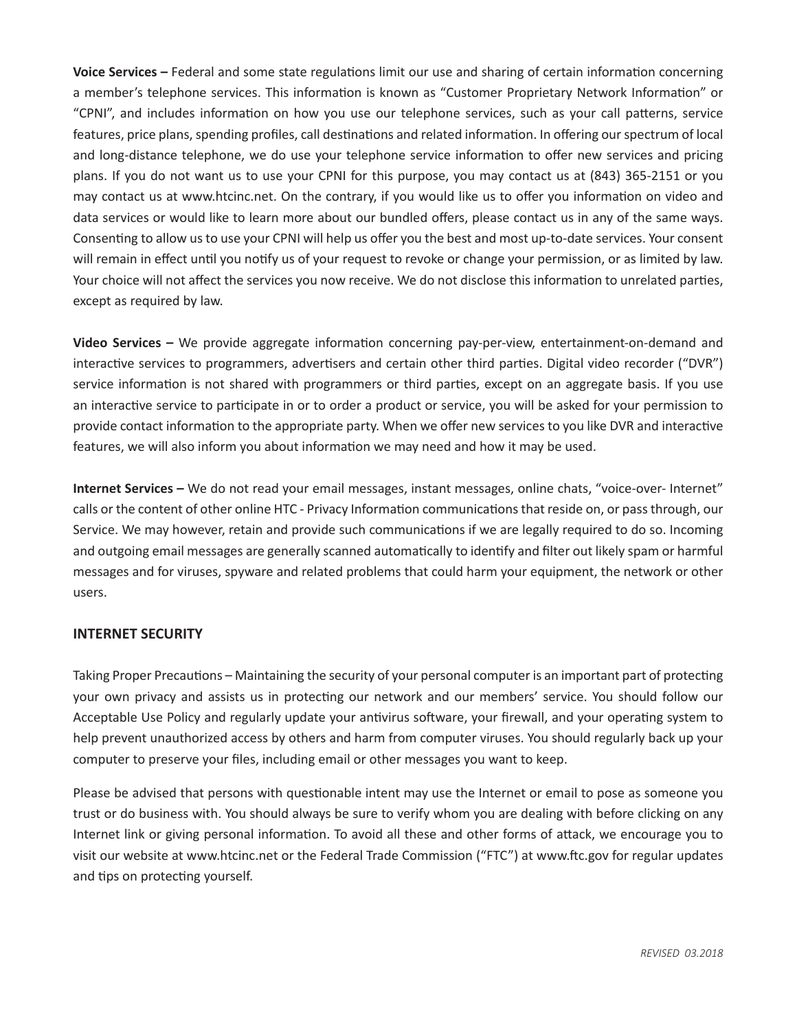**Voice Services –** Federal and some state regulations limit our use and sharing of certain information concerning a member's telephone services. This information is known as "Customer Proprietary Network Information" or "CPNI", and includes information on how you use our telephone services, such as your call patterns, service features, price plans, spending profiles, call destinations and related information. In offering our spectrum of local and long-distance telephone, we do use your telephone service information to offer new services and pricing plans. If you do not want us to use your CPNI for this purpose, you may contact us at (843) 365-2151 or you may contact us at [www.htcinc.net. On](http://www.htcinc.net) the contrary, if you would like us to offer you information on video and data services or would like to learn more about our bundled offers, please contact us in any of the same ways. Consenting to allow us to use your CPNI will help us offer you the best and most up-to-date services. Your consent will remain in effect until you notify us of your request to revoke or change your permission, or as limited by law. Your choice will not affect the services you now receive. We do not disclose this information to unrelated parties, except as required by law.

**Video Services –** We provide aggregate information concerning pay-per-view, entertainment-on-demand and interactive services to programmers, advertisers and certain other third parties. Digital video recorder ("DVR") service information is not shared with programmers or third parties, except on an aggregate basis. If you use an interactive service to participate in or to order a product or service, you will be asked for your permission to provide contact information to the appropriate party. When we offer new services to you like DVR and interactive features, we will also inform you about information we may need and how it may be used.

**Internet Services –** We do not read your email messages, instant messages, online chats, "voice-over- Internet" calls or the content of other online HTC - Privacy Information communications that reside on, or pass through, our Service. We may however, retain and provide such communications if we are legally required to do so. Incoming and outgoing email messages are generally scanned automatically to identify and filter out likely spam or harmful messages and for viruses, spyware and related problems that could harm your equipment, the network or other users.

## **INTERNET SECURITY**

Taking Proper Precautions – Maintaining the security of your personal computer is an important part of protecting your own privacy and assists us in protecting our network and our members' service. You should follow our Acceptable Use Policy and regularly update your antivirus software, your firewall, and your operating system to help prevent unauthorized access by others and harm from computer viruses. You should regularly back up your computer to preserve your files, including email or other messages you want to keep.

Please be advised that persons with questionable intent may use the Internet or email to pose as someone you trust or do business with. You should always be sure to verify whom you are dealing with before clicking on any Internet link or giving personal information. To avoid all these and other forms of attack, we encourage you to visit our website at [www.htcinc.net or](http://www.htcinc.net) the Federal Trade Commission ("FTC") at [www.ftc.gov fo](http://www.ftc.gov)r regular updates and tips on protecting yourself.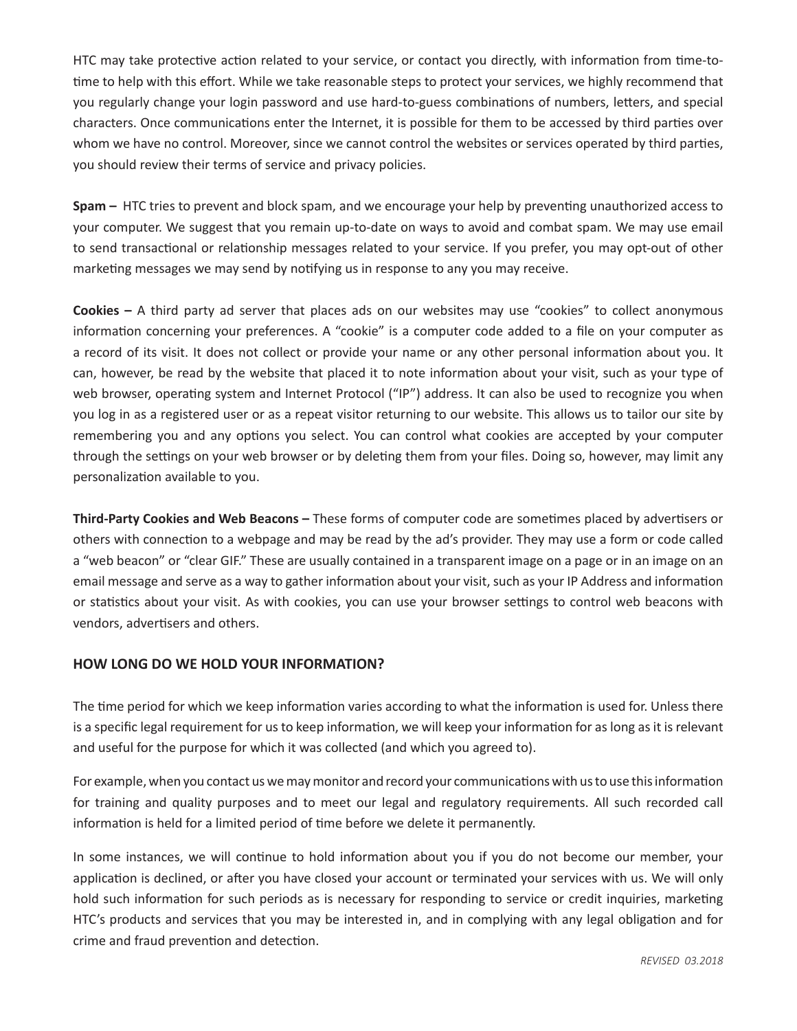HTC may take protective action related to your service, or contact you directly, with information from time-totime to help with this effort. While we take reasonable steps to protect your services, we highly recommend that you regularly change your login password and use hard-to-guess combinations of numbers, letters, and special characters. Once communications enter the Internet, it is possible for them to be accessed by third parties over whom we have no control. Moreover, since we cannot control the websites or services operated by third parties, you should review their terms of service and privacy policies.

**Spam –** HTC tries to prevent and block spam, and we encourage your help by preventing unauthorized access to your computer. We suggest that you remain up-to-date on ways to avoid and combat spam. We may use email to send transactional or relationship messages related to your service. If you prefer, you may opt-out of other marketing messages we may send by notifying us in response to any you may receive.

**Cookies –** A third party ad server that places ads on our websites may use "cookies" to collect anonymous information concerning your preferences. A "cookie" is a computer code added to a file on your computer as a record of its visit. It does not collect or provide your name or any other personal information about you. It can, however, be read by the website that placed it to note information about your visit, such as your type of web browser, operating system and Internet Protocol ("IP") address. It can also be used to recognize you when you log in as a registered user or as a repeat visitor returning to our website. This allows us to tailor our site by remembering you and any options you select. You can control what cookies are accepted by your computer through the settings on your web browser or by deleting them from your files. Doing so, however, may limit any personalization available to you.

**Third-Party Cookies and Web Beacons –** These forms of computer code are sometimes placed by advertisers or others with connection to a webpage and may be read by the ad's provider. They may use a form or code called a "web beacon" or "clear GIF." These are usually contained in a transparent image on a page or in an image on an email message and serve as a way to gather information about your visit, such as your IP Address and information or statistics about your visit. As with cookies, you can use your browser settings to control web beacons with vendors, advertisers and others.

## **HOW LONG DO WE HOLD YOUR INFORMATION?**

The time period for which we keep information varies according to what the information is used for. Unless there is a specific legal requirement for us to keep information, we will keep your information for as long as it is relevant and useful for the purpose for which it was collected (and which you agreed to).

For example, when you contact us we may monitor and record your communications with us to use this information for training and quality purposes and to meet our legal and regulatory requirements. All such recorded call information is held for a limited period of time before we delete it permanently.

In some instances, we will continue to hold information about you if you do not become our member, your application is declined, or after you have closed your account or terminated your services with us. We will only hold such information for such periods as is necessary for responding to service or credit inquiries, marketing HTC's products and services that you may be interested in, and in complying with any legal obligation and for crime and fraud prevention and detection.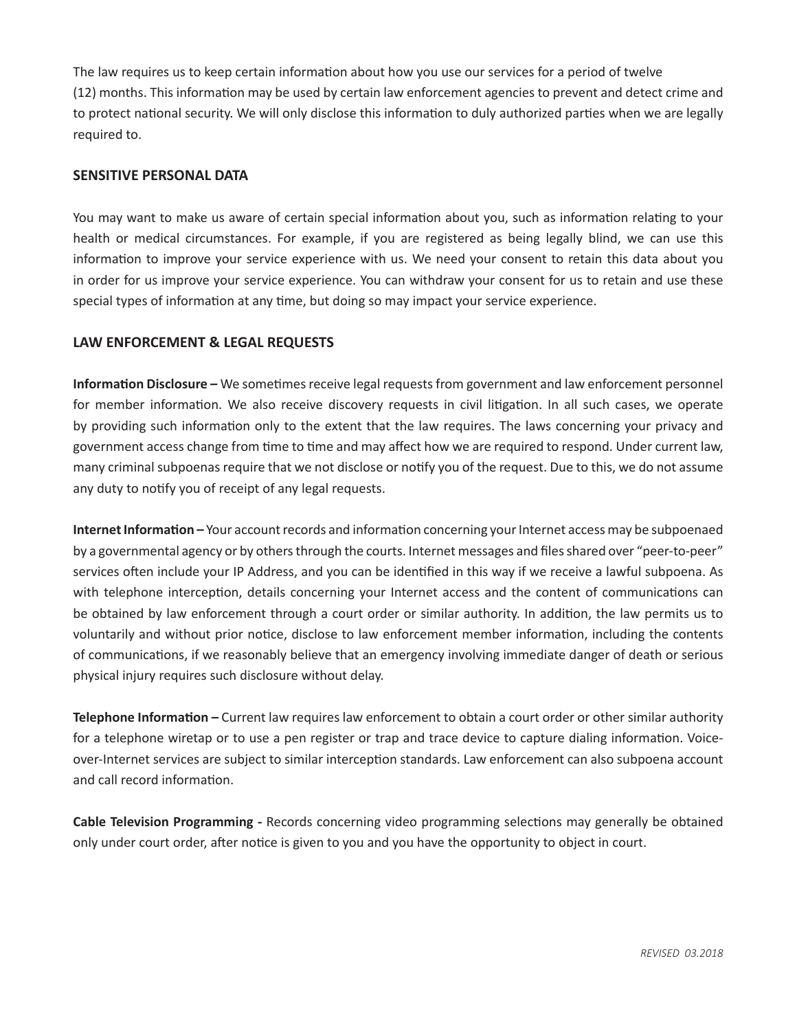The law requires us to keep certain information about how you use our services for a period of twelve (12) months. This information may be used by certain law enforcement agencies to prevent and detect crime and to protect national security. We will only disclose this information to duly authorized parties when we are legally required to.

## **SENSITIVE PERSONAL DATA**

You may want to make us aware of certain special information about you, such as information relating to your health or medical circumstances. For example, if you are registered as being legally blind, we can use this information to improve your service experience with us. We need your consent to retain this data about you in order for us improve your service experience. You can withdraw your consent for us to retain and use these special types of information at any time, but doing so may impact your service experience.

# **LAW ENFORCEMENT & LEGAL REQUESTS**

**Information Disclosure –** We sometimes receive legal requests from government and law enforcement personnel for member information. We also receive discovery requests in civil litigation. In all such cases, we operate by providing such information only to the extent that the law requires. The laws concerning your privacy and government access change from time to time and may affect how we are required to respond. Under current law, many criminal subpoenas require that we not disclose or notify you of the request. Due to this, we do not assume any duty to notify you of receipt of any legal requests.

**Internet Information –** Your account records and information concerning your Internet access may be subpoenaed by a governmental agency or by others through the courts. Internet messages and files shared over "peer-to-peer" services often include your IP Address, and you can be identified in this way if we receive a lawful subpoena. As with telephone interception, details concerning your Internet access and the content of communications can be obtained by law enforcement through a court order or similar authority. In addition, the law permits us to voluntarily and without prior notice, disclose to law enforcement member information, including the contents of communications, if we reasonably believe that an emergency involving immediate danger of death or serious physical injury requires such disclosure without delay.

**Telephone Information –** Current law requires law enforcement to obtain a court order or other similar authority for a telephone wiretap or to use a pen register or trap and trace device to capture dialing information. Voiceover-Internet services are subject to similar interception standards. Law enforcement can also subpoena account and call record information.

**Cable Television Programming -** Records concerning video programming selections may generally be obtained only under court order, after notice is given to you and you have the opportunity to object in court.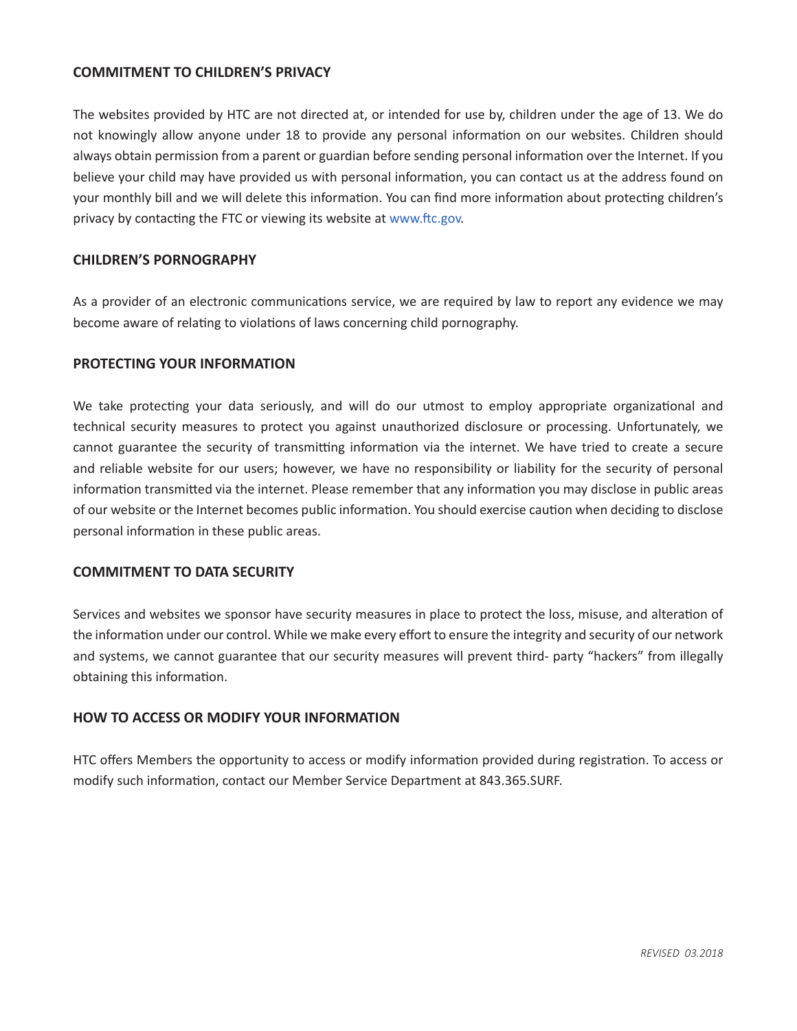## **COMMITMENT TO CHILDREN'S PRIVACY**

The websites provided by HTC are not directed at, or intended for use by, children under the age of 13. We do not knowingly allow anyone under 18 to provide any personal information on our websites. Children should always obtain permission from a parent or guardian before sending personal information over the Internet. If you believe your child may have provided us with personal information, you can contact us at the address found on your monthly bill and we will delete this information. You can find more information about protecting children's privacy by contacting the FTC or viewing its website at [www.ftc.gov.](http://www.ftc.gov) 

## **CHILDREN'S PORNOGRAPHY**

As a provider of an electronic communications service, we are required by law to report any evidence we may become aware of relating to violations of laws concerning child pornography.

#### **PROTECTING YOUR INFORMATION**

We take protecting your data seriously, and will do our utmost to employ appropriate organizational and technical security measures to protect you against unauthorized disclosure or processing. Unfortunately, we cannot guarantee the security of transmitting information via the internet. We have tried to create a secure and reliable website for our users; however, we have no responsibility or liability for the security of personal information transmitted via the internet. Please remember that any information you may disclose in public areas of our website or the Internet becomes public information. You should exercise caution when deciding to disclose personal information in these public areas.

#### **COMMITMENT TO DATA SECURITY**

Services and websites we sponsor have security measures in place to protect the loss, misuse, and alteration of the information under our control. While we make every effort to ensure the integrity and security of our network and systems, we cannot guarantee that our security measures will prevent third- party "hackers" from illegally obtaining this information.

## **HOW TO ACCESS OR MODIFY YOUR INFORMATION**

HTC offers Members the opportunity to access or modify information provided during registration. To access or modify such information, contact our Member Service Department at 843.365.SURF.